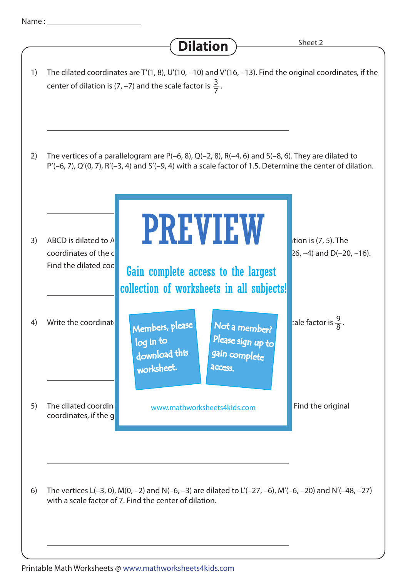**Dilation** 3 center of dilation is (7, –7) and the scale factor is  $\frac{3}{7}$ . The dilated coordinates are T'(1, 8), U'(10, –10) and V'(16, –13). Find the original coordinates, if the 1) The vertices of a parallelogram are  $P(-6, 8)$ ,  $Q(-2, 8)$ ,  $R(-4, 6)$  and  $S(-8, 6)$ . They are dilated to P'(–6, 7), Q'(0, 7), R'(–3, 4) and S'(–9, 4) with a scale factor of 1.5. Determine the center of dilation. 2) 1 ABCD is dilated to A<sup>'B'</sup> with a scale factor of a scale factor of  $\blacksquare$  and the center of  $\blacksquare$  and the center of  $\blacksquare$  and the center of  $\blacksquare$  and  $\blacksquare$  and  $\blacksquare$  and  $\blacksquare$  and  $\blacksquare$  and  $\blacksquare$  and  $\blacksquare$  and  $\$ coordinates of the coordinates of the coordinates of the coordinates of the coordinates of the coordinates  $\alpha$ 3) ABCD is dilated to A Write the coordinate **Rule, Members, please and Not a member of disk c**ale factor is  $\frac{9}{8}$ 4) Write the coordinate  $\blacksquare$  Members, please  $\blacksquare$  Not a member?  $\blacksquare$  ale factor is  $\frac{3}{8}$ . The dilated coordinate www.mathworksheets4kids.com **Find the original** coordinates, if the g 5) The vertices  $L(-3, 0)$ ,  $M(0, -2)$  and  $N(-6, -3)$  are dilated to  $L'(-27, -6)$ ,  $M'(-6, -20)$  and  $N'(-48, -27)$ with a scale factor of 7. Find the center of dilation 6) Find the dilated coo PREVIEW download this worksheet. log in to Not a member? gain complete Please sign up to **access** Gain complete access to the largest collection of worksheets in all subjects!